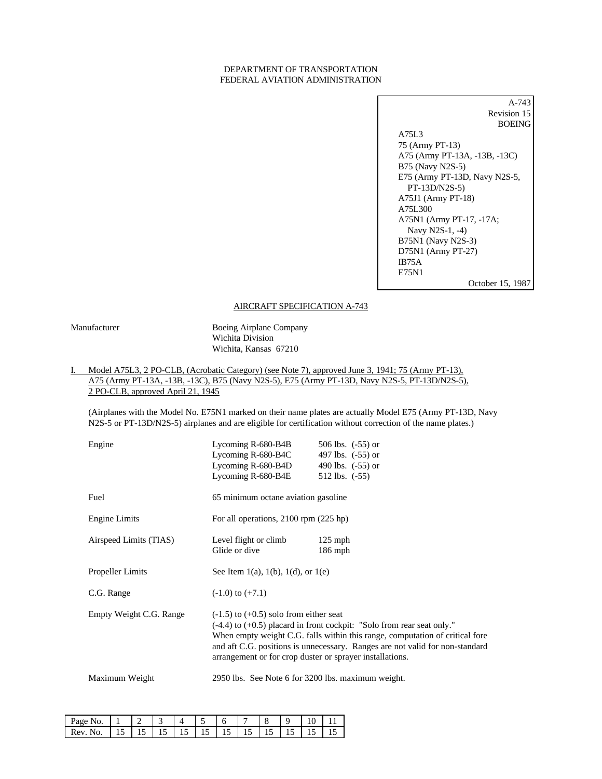#### DEPARTMENT OF TRANSPORTATION FEDERAL AVIATION ADMINISTRATION

| A-743                         |
|-------------------------------|
| Revision 15                   |
| <b>BOEING</b>                 |
| A75L3                         |
| 75 (Army PT-13)               |
| A75 (Army PT-13A, -13B, -13C) |
| B75 (Navy N2S-5)              |
| E75 (Army PT-13D, Navy N2S-5, |
| $PT-13D/N2S-5)$               |
| $A75J1$ (Army PT-18)          |
| A75L300                       |
| A75N1 (Army PT-17, -17A;      |
| Navy N2S-1, -4)               |
| B75N1 (Navy N2S-3)            |
| D75N1 (Army PT-27)            |
| IB75A                         |
| E75N1                         |
| October 15, 198               |

### AIRCRAFT SPECIFICATION A-743

Manufacturer Boeing Airplane Company Wichita Division Wichita, Kansas 67210

### I. Model A75L3, 2 PO-CLB, (Acrobatic Category) (see Note 7), approved June 3, 1941; 75 (Army PT-13), A75 (Army PT-13A, -13B, -13C), B75 (Navy N2S-5), E75 (Army PT-13D, Navy N2S-5, PT-13D/N2S-5), 2 PO-CLB, approved April 21, 1945

(Airplanes with the Model No. E75N1 marked on their name plates are actually Model E75 (Army PT-13D, Navy N2S-5 or PT-13D/N2S-5) airplanes and are eligible for certification without correction of the name plates.)

| Engine                  | Lycoming R-680-B4B<br>Lycoming R-680-B4C<br>Lycoming R-680-B4D<br>Lycoming R-680-B4E                   | 506 lbs. $(-55)$ or<br>497 lbs. $(-55)$ or<br>490 lbs. $(-55)$ or<br>512 lbs. $(-55)$                                                                                                                                                      |
|-------------------------|--------------------------------------------------------------------------------------------------------|--------------------------------------------------------------------------------------------------------------------------------------------------------------------------------------------------------------------------------------------|
| Fuel                    | 65 minimum octane aviation gasoline                                                                    |                                                                                                                                                                                                                                            |
|                         |                                                                                                        |                                                                                                                                                                                                                                            |
| Engine Limits           | For all operations, $2100$ rpm $(225$ hp)                                                              |                                                                                                                                                                                                                                            |
| Airspeed Limits (TIAS)  | Level flight or climb<br>Glide or dive                                                                 | $125$ mph<br>$186$ mph                                                                                                                                                                                                                     |
| Propeller Limits        | See Item 1(a), 1(b), 1(d), or 1(e)                                                                     |                                                                                                                                                                                                                                            |
| C.G. Range              | $(-1.0)$ to $(+7.1)$                                                                                   |                                                                                                                                                                                                                                            |
| Empty Weight C.G. Range | $(-1.5)$ to $(+0.5)$ solo from either seat<br>arrangement or for crop duster or sprayer installations. | $(-4.4)$ to $(+0.5)$ placard in front cockpit: "Solo from rear seat only."<br>When empty weight C.G. falls within this range, computation of critical fore<br>and aft C.G. positions is unnecessary. Ranges are not valid for non-standard |
| Maximum Weight          | 2950 lbs. See Note 6 for 3200 lbs. maximum weight.                                                     |                                                                                                                                                                                                                                            |

| Page        |            |      |   | ັ  |      |            |       |  |
|-------------|------------|------|---|----|------|------------|-------|--|
| . Rev<br>No | , <b>,</b> | <br> | ໋ | 10 | <br> | <b>⊥ J</b> | <br>… |  |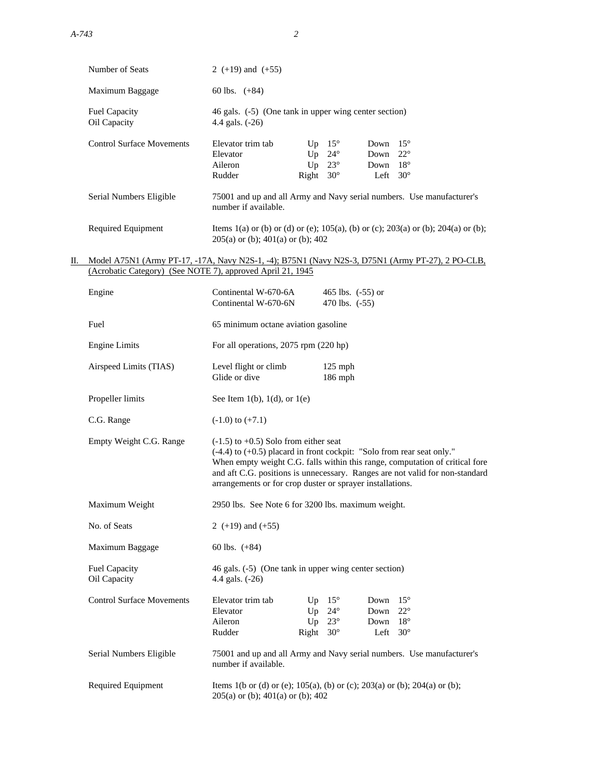|    | Number of Seats                                            | 2 $(+19)$ and $(+55)$                                                                                                                                                                                                                                                                                                                                 |                |                                                                  |                                  |                                                            |
|----|------------------------------------------------------------|-------------------------------------------------------------------------------------------------------------------------------------------------------------------------------------------------------------------------------------------------------------------------------------------------------------------------------------------------------|----------------|------------------------------------------------------------------|----------------------------------|------------------------------------------------------------|
|    | Maximum Baggage                                            | 60 lbs. $(+84)$                                                                                                                                                                                                                                                                                                                                       |                |                                                                  |                                  |                                                            |
|    | Fuel Capacity<br>Oil Capacity                              | 46 gals. (-5) (One tank in upper wing center section)<br>4.4 gals. (-26)                                                                                                                                                                                                                                                                              |                |                                                                  |                                  |                                                            |
|    | <b>Control Surface Movements</b>                           | Elevator trim tab<br>Elevator<br>Aileron<br>Rudder                                                                                                                                                                                                                                                                                                    | Up<br>Up<br>Up | $15^{\circ}$<br>$24^{\circ}$<br>$23^{\circ}$<br>Right $30^\circ$ | Down<br>Down<br>Down 18°<br>Left | $15^{\circ}$<br>$22^{\circ}$<br>$30^{\circ}$               |
|    | Serial Numbers Eligible                                    | 75001 and up and all Army and Navy serial numbers. Use manufacturer's<br>number if available.                                                                                                                                                                                                                                                         |                |                                                                  |                                  |                                                            |
|    | Required Equipment                                         | Items 1(a) or (b) or (d) or (e); 105(a), (b) or (c); 203(a) or (b); 204(a) or (b);<br>$205(a)$ or (b); $401(a)$ or (b); $402$                                                                                                                                                                                                                         |                |                                                                  |                                  |                                                            |
| П. | (Acrobatic Category) (See NOTE 7), approved April 21, 1945 | Model A75N1 (Army PT-17, -17A, Navy N2S-1, -4); B75N1 (Navy N2S-3, D75N1 (Army PT-27), 2 PO-CLB,                                                                                                                                                                                                                                                      |                |                                                                  |                                  |                                                            |
|    | Engine                                                     | Continental W-670-6A<br>Continental W-670-6N                                                                                                                                                                                                                                                                                                          |                | 465 lbs. $(-55)$ or<br>470 lbs. (-55)                            |                                  |                                                            |
|    | Fuel                                                       | 65 minimum octane aviation gasoline                                                                                                                                                                                                                                                                                                                   |                |                                                                  |                                  |                                                            |
|    | <b>Engine Limits</b>                                       | For all operations, 2075 rpm (220 hp)                                                                                                                                                                                                                                                                                                                 |                |                                                                  |                                  |                                                            |
|    | Airspeed Limits (TIAS)                                     | Level flight or climb<br>Glide or dive                                                                                                                                                                                                                                                                                                                |                | $125$ mph<br>186 mph                                             |                                  |                                                            |
|    | Propeller limits                                           | See Item 1(b), 1(d), or 1(e)                                                                                                                                                                                                                                                                                                                          |                |                                                                  |                                  |                                                            |
|    | C.G. Range                                                 | $(-1.0)$ to $(+7.1)$                                                                                                                                                                                                                                                                                                                                  |                |                                                                  |                                  |                                                            |
|    | Empty Weight C.G. Range                                    | $(-1.5)$ to $+0.5$ ) Solo from either seat<br>$(-4.4)$ to $(+0.5)$ placard in front cockpit: "Solo from rear seat only."<br>When empty weight C.G. falls within this range, computation of critical fore<br>and aft C.G. positions is unnecessary. Ranges are not valid for non-standard<br>arrangements or for crop duster or sprayer installations. |                |                                                                  |                                  |                                                            |
|    | Maximum Weight                                             | 2950 lbs. See Note 6 for 3200 lbs. maximum weight.                                                                                                                                                                                                                                                                                                    |                |                                                                  |                                  |                                                            |
|    | No. of Seats                                               | 2 (+19) and (+55)                                                                                                                                                                                                                                                                                                                                     |                |                                                                  |                                  |                                                            |
|    | Maximum Baggage                                            | 60 lbs. $(+84)$                                                                                                                                                                                                                                                                                                                                       |                |                                                                  |                                  |                                                            |
|    | <b>Fuel Capacity</b><br>Oil Capacity                       | 46 gals. (-5) (One tank in upper wing center section)<br>4.4 gals. (-26)                                                                                                                                                                                                                                                                              |                |                                                                  |                                  |                                                            |
|    | <b>Control Surface Movements</b>                           | Elevator trim tab<br>Elevator<br>Aileron<br>Rudder                                                                                                                                                                                                                                                                                                    | Up<br>Up<br>Up | $15^{\circ}$<br>$24^{\circ}$<br>$23^{\circ}$<br>Right $30^\circ$ | Down<br>Down<br>Down<br>Left     | $15^{\circ}$<br>$22^{\circ}$<br>$18^{\circ}$<br>$30^\circ$ |
|    | Serial Numbers Eligible                                    | 75001 and up and all Army and Navy serial numbers. Use manufacturer's<br>number if available.                                                                                                                                                                                                                                                         |                |                                                                  |                                  |                                                            |
|    | Required Equipment                                         | Items 1(b or (d) or (e); 105(a), (b) or (c); 203(a) or (b); 204(a) or (b);<br>$205(a)$ or (b); $401(a)$ or (b); $402$                                                                                                                                                                                                                                 |                |                                                                  |                                  |                                                            |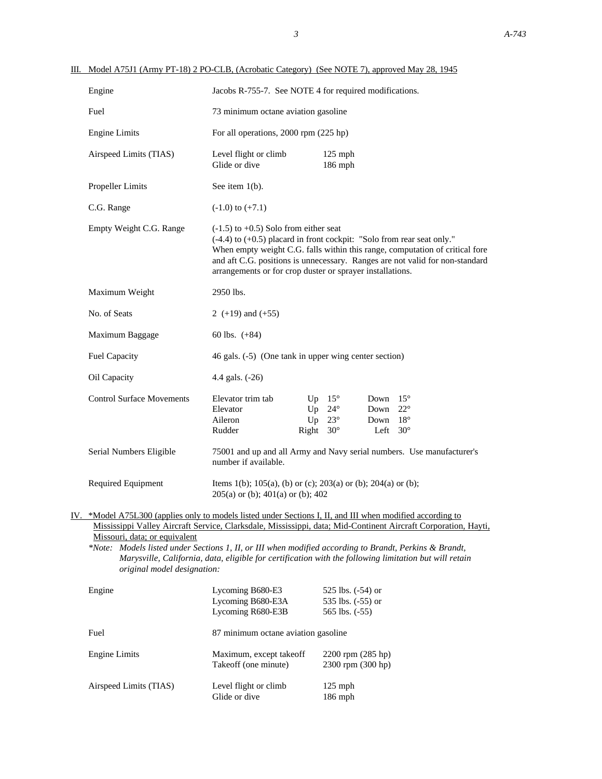| Engine                                                                                                                                                                                                                                                                                                                                                                                                 | Jacobs R-755-7. See NOTE 4 for required modifications.                                                                                                                                                                                                                                                                                                |                                     |                                                |                                                    |                              |
|--------------------------------------------------------------------------------------------------------------------------------------------------------------------------------------------------------------------------------------------------------------------------------------------------------------------------------------------------------------------------------------------------------|-------------------------------------------------------------------------------------------------------------------------------------------------------------------------------------------------------------------------------------------------------------------------------------------------------------------------------------------------------|-------------------------------------|------------------------------------------------|----------------------------------------------------|------------------------------|
| Fuel                                                                                                                                                                                                                                                                                                                                                                                                   |                                                                                                                                                                                                                                                                                                                                                       | 73 minimum octane aviation gasoline |                                                |                                                    |                              |
| <b>Engine Limits</b>                                                                                                                                                                                                                                                                                                                                                                                   | For all operations, 2000 rpm (225 hp)                                                                                                                                                                                                                                                                                                                 |                                     |                                                |                                                    |                              |
| Airspeed Limits (TIAS)                                                                                                                                                                                                                                                                                                                                                                                 | Level flight or climb<br>Glide or dive                                                                                                                                                                                                                                                                                                                |                                     | $125$ mph<br>186 mph                           |                                                    |                              |
| <b>Propeller Limits</b>                                                                                                                                                                                                                                                                                                                                                                                | See item $1(b)$ .                                                                                                                                                                                                                                                                                                                                     |                                     |                                                |                                                    |                              |
| C.G. Range                                                                                                                                                                                                                                                                                                                                                                                             | $(-1.0)$ to $(+7.1)$                                                                                                                                                                                                                                                                                                                                  |                                     |                                                |                                                    |                              |
| Empty Weight C.G. Range                                                                                                                                                                                                                                                                                                                                                                                | $(-1.5)$ to $+0.5$ ) Solo from either seat<br>$(-4.4)$ to $(+0.5)$ placard in front cockpit: "Solo from rear seat only."<br>When empty weight C.G. falls within this range, computation of critical fore<br>and aft C.G. positions is unnecessary. Ranges are not valid for non-standard<br>arrangements or for crop duster or sprayer installations. |                                     |                                                |                                                    |                              |
| Maximum Weight                                                                                                                                                                                                                                                                                                                                                                                         | 2950 lbs.                                                                                                                                                                                                                                                                                                                                             |                                     |                                                |                                                    |                              |
| No. of Seats                                                                                                                                                                                                                                                                                                                                                                                           | 2 $(+19)$ and $(+55)$                                                                                                                                                                                                                                                                                                                                 |                                     |                                                |                                                    |                              |
| Maximum Baggage                                                                                                                                                                                                                                                                                                                                                                                        | 60 lbs. $(+84)$                                                                                                                                                                                                                                                                                                                                       |                                     |                                                |                                                    |                              |
| <b>Fuel Capacity</b>                                                                                                                                                                                                                                                                                                                                                                                   | 46 gals. (-5) (One tank in upper wing center section)                                                                                                                                                                                                                                                                                                 |                                     |                                                |                                                    |                              |
| Oil Capacity                                                                                                                                                                                                                                                                                                                                                                                           | 4.4 gals. (-26)                                                                                                                                                                                                                                                                                                                                       |                                     |                                                |                                                    |                              |
| <b>Control Surface Movements</b>                                                                                                                                                                                                                                                                                                                                                                       | Elevator trim tab<br>Elevator<br>Aileron<br>Rudder                                                                                                                                                                                                                                                                                                    | Up<br>Right $30^\circ$              | Up $15^\circ$<br>$24^{\circ}$<br>Up $23^\circ$ | Down<br>Down<br>Down $18^\circ$<br>Left $30^\circ$ | $15^{\circ}$<br>$22^{\circ}$ |
| Serial Numbers Eligible                                                                                                                                                                                                                                                                                                                                                                                | 75001 and up and all Army and Navy serial numbers. Use manufacturer's<br>number if available.                                                                                                                                                                                                                                                         |                                     |                                                |                                                    |                              |
| Required Equipment                                                                                                                                                                                                                                                                                                                                                                                     | Items 1(b); 105(a), (b) or (c); 203(a) or (b); 204(a) or (b);<br>$205(a)$ or (b); $401(a)$ or (b); $402$                                                                                                                                                                                                                                              |                                     |                                                |                                                    |                              |
| IV. *Model A75L300 (applies only to models listed under Sections I, II, and III when modified according to<br>Mississippi Valley Aircraft Service, Clarksdale, Mississippi, data; Mid-Continent Aircraft Corporation, Hayti,<br>Missouri, data; or equivalent<br>*Note: Models listed under Sections 1, II, or III when modified according to Brandt, Perkins & Brandt,<br>original model designation: | Marysville, California, data, eligible for certification with the following limitation but will retain                                                                                                                                                                                                                                                |                                     |                                                |                                                    |                              |

III. Model A75J1 (Army PT-18) 2 PO-CLB, (Acrobatic Category) (See NOTE 7), approved May 28, 1945

| Engine                 | Lycoming B680-E3<br>Lycoming B680-E3A<br>Lycoming R680-E3B | 525 lbs. $(-54)$ or<br>535 lbs. $(-55)$ or<br>565 lbs. $(-55)$ |
|------------------------|------------------------------------------------------------|----------------------------------------------------------------|
| Fuel                   | 87 minimum octane aviation gasoline                        |                                                                |
| Engine Limits          | Maximum, except takeoff<br>Takeoff (one minute)            | $2200$ rpm $(285$ hp)<br>2300 rpm (300 hp)                     |
| Airspeed Limits (TIAS) | Level flight or climb<br>Glide or dive                     | $125$ mph<br>$186$ mph                                         |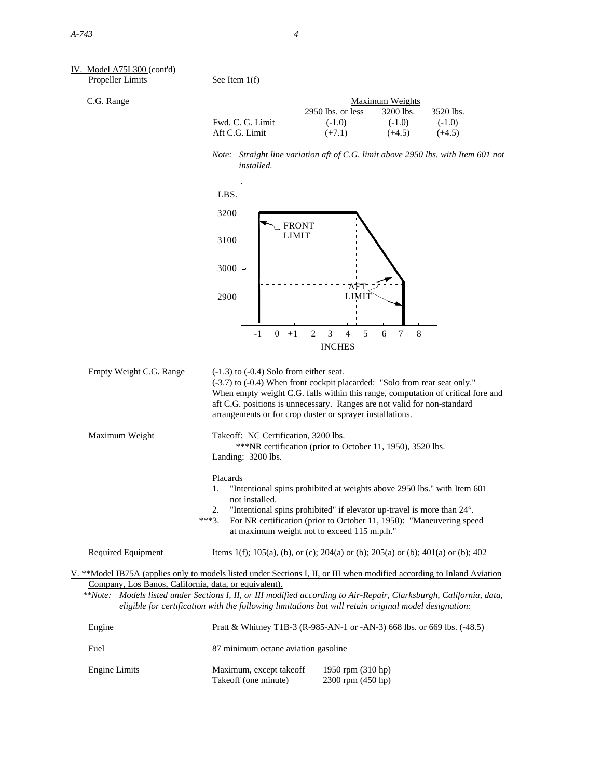### IV. Model A75L300 (cont'd) Propeller Limits See Item 1(f)

C.G. Range

|                  | Maximum Weights   |           |           |  |
|------------------|-------------------|-----------|-----------|--|
|                  | 2950 lbs. or less | 3200 lbs. | 3520 lbs. |  |
| Fwd. C. G. Limit | $(-1.0)$          | $(-1.0)$  | $(-1.0)$  |  |
| Aft C.G. Limit   | $(+7.1)$          | $(+4.5)$  | $(+4.5)$  |  |

*Note: Straight line variation aft of C.G. limit above 2950 lbs. with Item 601 not installed.*



|                                                       | (-3.7) to (-0.4) When front cockpit placarded: "Solo from rear seat only."<br>When empty weight C.G. falls within this range, computation of critical fore and<br>aft C.G. positions is unnecessary. Ranges are not valid for non-standard<br>arrangements or for crop duster or sprayer installations. |
|-------------------------------------------------------|---------------------------------------------------------------------------------------------------------------------------------------------------------------------------------------------------------------------------------------------------------------------------------------------------------|
| Maximum Weight                                        | Takeoff: NC Certification, 3200 lbs.<br>***NR certification (prior to October 11, 1950), 3520 lbs.<br>Landing: $3200$ lbs.                                                                                                                                                                              |
|                                                       | Placards                                                                                                                                                                                                                                                                                                |
|                                                       | "Intentional spins prohibited at weights above 2950 lbs." with Item 601<br>1.<br>not installed.                                                                                                                                                                                                         |
|                                                       | "Intentional spins prohibited" if elevator up-travel is more than 24°.<br>2.<br>For NR certification (prior to October 11, 1950): "Maneuvering speed<br>***3<br>at maximum weight not to exceed 115 m.p.h."                                                                                             |
| Required Equipment                                    | Items 1(f); 105(a), (b), or (c); 204(a) or (b); 205(a) or (b); 401(a) or (b); 402                                                                                                                                                                                                                       |
|                                                       | V. **Model IB75A (applies only to models listed under Sections I, II, or III when modified according to Inland Aviation                                                                                                                                                                                 |
| Company, Los Banos, California, data, or equivalent). |                                                                                                                                                                                                                                                                                                         |
|                                                       | **Note: Models listed under Sections I, II, or III modified according to Air-Repair, Clarksburgh, California, data,<br>eligible for certification with the following limitations but will retain original model designation:                                                                            |
| Engine                                                | Pratt & Whitney T1B-3 (R-085-AN-1 or -AN-3) 668 lbs. or 660 lbs. $(A8.5)$                                                                                                                                                                                                                               |

| Engine        |                                                 | Pratt & Whitney T1B-3 (R-985-AN-1 or -AN-3) 668 lbs. or 669 lbs. (-48.5) |
|---------------|-------------------------------------------------|--------------------------------------------------------------------------|
| Fuel          | 87 minimum octane aviation gasoline             |                                                                          |
| Engine Limits | Maximum, except takeoff<br>Takeoff (one minute) | 1950 rpm $(310$ hp)<br>$2300$ rpm $(450$ hp)                             |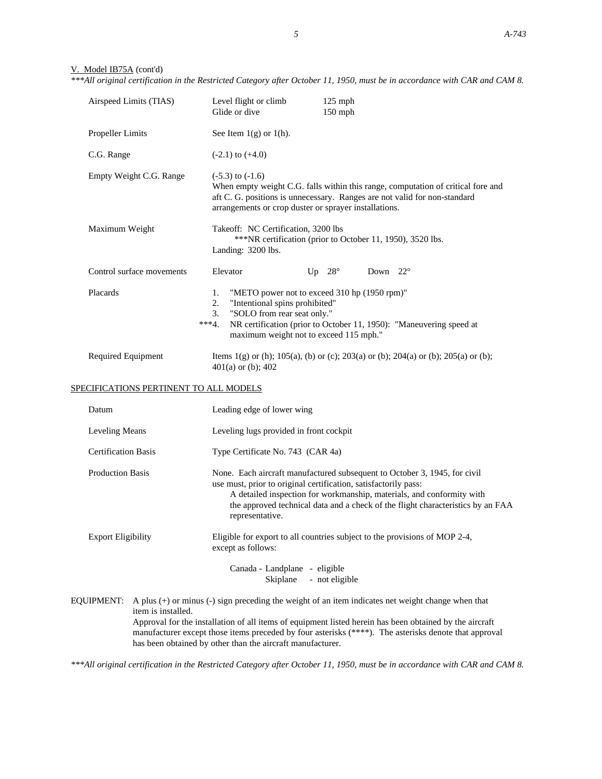# V. Model IB75A (cont'd)

*\*\*\*All original certification in the Restricted Category after October 11, 1950, must be in accordance with CAR and CAM 8.*

| Airspeed Limits (TIAS)                 | Level flight or climb<br>$125$ mph<br>Glide or dive<br>150 mph                                                                                                                                                                                                                                                                                                                           |
|----------------------------------------|------------------------------------------------------------------------------------------------------------------------------------------------------------------------------------------------------------------------------------------------------------------------------------------------------------------------------------------------------------------------------------------|
| <b>Propeller Limits</b>                | See Item $1(g)$ or $1(h)$ .                                                                                                                                                                                                                                                                                                                                                              |
| C.G. Range                             | $(-2.1)$ to $(+4.0)$                                                                                                                                                                                                                                                                                                                                                                     |
| Empty Weight C.G. Range                | $(-5.3)$ to $(-1.6)$<br>When empty weight C.G. falls within this range, computation of critical fore and<br>aft C. G. positions is unnecessary. Ranges are not valid for non-standard<br>arrangements or crop duster or sprayer installations.                                                                                                                                           |
| Maximum Weight                         | Takeoff: NC Certification, 3200 lbs<br>*** NR certification (prior to October 11, 1950), 3520 lbs.<br>Landing: 3200 lbs.                                                                                                                                                                                                                                                                 |
| Control surface movements              | Up $28^\circ$<br>Down $22^{\circ}$<br>Elevator                                                                                                                                                                                                                                                                                                                                           |
| Placards                               | "METO power not to exceed 310 hp (1950 rpm)"<br>1.<br>2.<br>"Intentional spins prohibited"<br>"SOLO from rear seat only."<br>3.<br>$***4.$<br>NR certification (prior to October 11, 1950): "Maneuvering speed at<br>maximum weight not to exceed 115 mph."                                                                                                                              |
| Required Equipment                     | Items 1(g) or (h); 105(a), (b) or (c); 203(a) or (b); 204(a) or (b); 205(a) or (b);<br>$401(a)$ or (b); $402$                                                                                                                                                                                                                                                                            |
| SPECIFICATIONS PERTINENT TO ALL MODELS |                                                                                                                                                                                                                                                                                                                                                                                          |
| Datum                                  | Leading edge of lower wing                                                                                                                                                                                                                                                                                                                                                               |
| Leveling Means                         | Leveling lugs provided in front cockpit                                                                                                                                                                                                                                                                                                                                                  |
| <b>Certification Basis</b>             | Type Certificate No. 743 (CAR 4a)                                                                                                                                                                                                                                                                                                                                                        |
| <b>Production Basis</b>                | None. Each aircraft manufactured subsequent to October 3, 1945, for civil<br>use must, prior to original certification, satisfactorily pass:<br>A detailed inspection for workmanship, materials, and conformity with<br>the approved technical data and a check of the flight characteristics by an FAA<br>representative.                                                              |
| <b>Export Eligibility</b>              | Eligible for export to all countries subject to the provisions of MOP 2-4,<br>except as follows:                                                                                                                                                                                                                                                                                         |
|                                        | Canada - Landplane - eligible<br>- not eligible<br>Skiplane                                                                                                                                                                                                                                                                                                                              |
| EQUIPMENT:<br>item is installed.       | A plus $(+)$ or minus $(-)$ sign preceding the weight of an item indicates net weight change when that<br>Approval for the installation of all items of equipment listed herein has been obtained by the aircraft<br>manufacturer except those items preceded by four asterisks (****). The asterisks denote that approval<br>has been obtained by other than the aircraft manufacturer. |

*\*\*\*All original certification in the Restricted Category after October 11, 1950, must be in accordance with CAR and CAM 8.*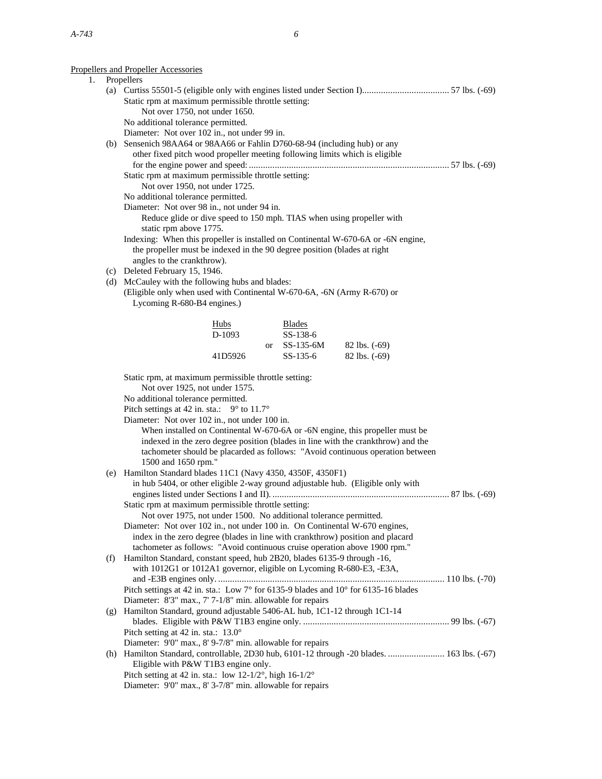# Propellers and Propeller Accessories

|    |     | betters and Propetter Accessories                                                          |
|----|-----|--------------------------------------------------------------------------------------------|
| 1. |     | Propellers                                                                                 |
|    |     |                                                                                            |
|    |     | Static rpm at maximum permissible throttle setting:                                        |
|    |     | Not over 1750, not under 1650.                                                             |
|    |     | No additional tolerance permitted.                                                         |
|    |     | Diameter: Not over 102 in., not under 99 in.                                               |
|    |     | (b) Sensenich 98AA64 or 98AA66 or Fahlin D760-68-94 (including hub) or any                 |
|    |     | other fixed pitch wood propeller meeting following limits which is eligible                |
|    |     |                                                                                            |
|    |     | Static rpm at maximum permissible throttle setting:                                        |
|    |     | Not over 1950, not under 1725.                                                             |
|    |     | No additional tolerance permitted.                                                         |
|    |     | Diameter: Not over 98 in., not under 94 in.                                                |
|    |     | Reduce glide or dive speed to 150 mph. TIAS when using propeller with                      |
|    |     | static rpm above 1775.                                                                     |
|    |     |                                                                                            |
|    |     | Indexing: When this propeller is installed on Continental W-670-6A or -6N engine,          |
|    |     | the propeller must be indexed in the 90 degree position (blades at right                   |
|    |     | angles to the crankthrow).                                                                 |
|    |     | (c) Deleted February 15, 1946.                                                             |
|    |     | (d) McCauley with the following hubs and blades:                                           |
|    |     | (Eligible only when used with Continental W-670-6A, -6N (Army R-670) or                    |
|    |     | Lycoming R-680-B4 engines.)                                                                |
|    |     |                                                                                            |
|    |     | Hubs<br><b>Blades</b>                                                                      |
|    |     | D-1093<br>SS-138-6                                                                         |
|    |     | SS-135-6M<br>$82$ lbs. $(-69)$<br>$\alpha$                                                 |
|    |     | 41D5926<br>SS-135-6<br>$82$ lbs. $(-69)$                                                   |
|    |     |                                                                                            |
|    |     | Static rpm, at maximum permissible throttle setting:                                       |
|    |     | Not over 1925, not under 1575.                                                             |
|    |     | No additional tolerance permitted.                                                         |
|    |     | Pitch settings at 42 in. sta.: $9^{\circ}$ to 11.7°                                        |
|    |     | Diameter: Not over 102 in., not under 100 in.                                              |
|    |     | When installed on Continental W-670-6A or -6N engine, this propeller must be               |
|    |     | indexed in the zero degree position (blades in line with the crankthrow) and the           |
|    |     | tachometer should be placarded as follows: "Avoid continuous operation between             |
|    |     | 1500 and 1650 rpm."                                                                        |
|    |     | (e) Hamilton Standard blades 11C1 (Navy 4350, 4350F, 4350F1)                               |
|    |     | in hub 5404, or other eligible 2-way ground adjustable hub. (Eligible only with            |
|    |     |                                                                                            |
|    |     |                                                                                            |
|    |     | Static rpm at maximum permissible throttle setting:                                        |
|    |     | Not over 1975, not under 1500. No additional tolerance permitted.                          |
|    |     | Diameter: Not over 102 in., not under 100 in. On Continental W-670 engines,                |
|    |     | index in the zero degree (blades in line with crankthrow) position and placard             |
|    |     | tachometer as follows: "Avoid continuous cruise operation above 1900 rpm."                 |
|    | (f) | Hamilton Standard, constant speed, hub 2B20, blades 6135-9 through -16,                    |
|    |     | with 1012G1 or 1012A1 governor, eligible on Lycoming R-680-E3, -E3A,                       |
|    |     |                                                                                            |
|    |     | Pitch settings at 42 in. sta.: Low 7° for 6135-9 blades and 10° for 6135-16 blades         |
|    |     | Diameter: 8'3" max., 7' 7-1/8" min. allowable for repairs                                  |
|    | (g) | Hamilton Standard, ground adjustable 5406-AL hub, 1C1-12 through 1C1-14                    |
|    |     |                                                                                            |
|    |     | Pitch setting at 42 in. sta.: 13.0°                                                        |
|    |     | Diameter: 9'0" max., 8' 9-7/8" min. allowable for repairs                                  |
|    |     | (h) Hamilton Standard, controllable, 2D30 hub, 6101-12 through -20 blades.  163 lbs. (-67) |
|    |     | Eligible with P&W T1B3 engine only.                                                        |
|    |     | Pitch setting at 42 in. sta.: low 12-1/2°, high $16-1/2$ °                                 |
|    |     | Diameter: 9'0" max., 8' 3-7/8" min. allowable for repairs                                  |
|    |     |                                                                                            |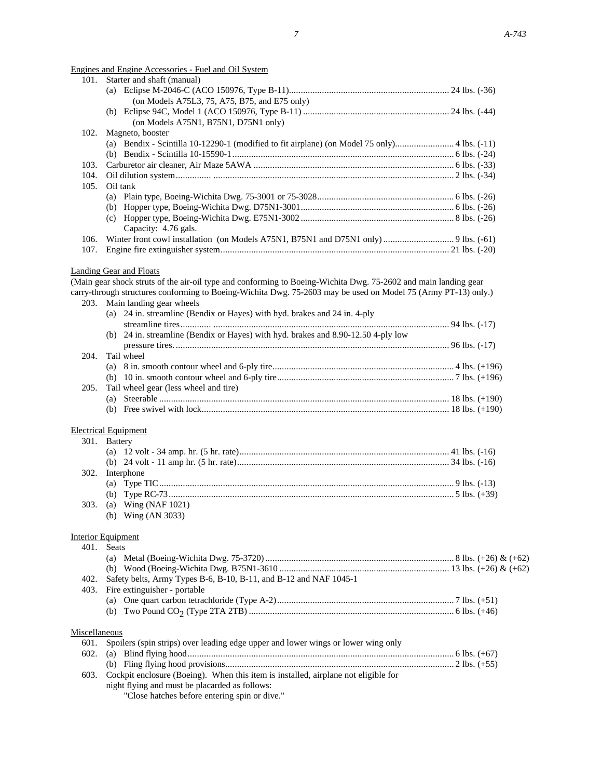Engines and Engine Accessories - Fuel and Oil System

|               | <u> Engines and Engine Accessories - Fuel and Oil System</u>                                                    |  |
|---------------|-----------------------------------------------------------------------------------------------------------------|--|
| 101.          | Starter and shaft (manual)                                                                                      |  |
|               |                                                                                                                 |  |
|               | (on Models A75L3, 75, A75, B75, and E75 only)                                                                   |  |
|               |                                                                                                                 |  |
|               | (on Models A75N1, B75N1, D75N1 only)                                                                            |  |
| 102.          | Magneto, booster                                                                                                |  |
|               |                                                                                                                 |  |
|               |                                                                                                                 |  |
|               |                                                                                                                 |  |
| 103.          |                                                                                                                 |  |
| 104.          |                                                                                                                 |  |
| 105.          | Oil tank                                                                                                        |  |
|               |                                                                                                                 |  |
|               |                                                                                                                 |  |
|               |                                                                                                                 |  |
|               | Capacity: 4.76 gals.                                                                                            |  |
| 106.          |                                                                                                                 |  |
|               |                                                                                                                 |  |
| 107.          |                                                                                                                 |  |
|               |                                                                                                                 |  |
|               | <b>Landing Gear and Floats</b>                                                                                  |  |
|               | (Main gear shock struts of the air-oil type and conforming to Boeing-Wichita Dwg. 75-2602 and main landing gear |  |
|               | carry-through structures conforming to Boeing-Wichita Dwg. 75-2603 may be used on Model 75 (Army PT-13) only.)  |  |
|               | 203. Main landing gear wheels                                                                                   |  |
|               | (a) 24 in. streamline (Bendix or Hayes) with hyd. brakes and 24 in. 4-ply                                       |  |
|               |                                                                                                                 |  |
|               | (b) 24 in. streamline (Bendix or Hayes) with hyd. brakes and 8.90-12.50 4-ply low                               |  |
|               |                                                                                                                 |  |
|               |                                                                                                                 |  |
| 204.          | Tail wheel                                                                                                      |  |
|               |                                                                                                                 |  |
|               |                                                                                                                 |  |
| 205.          | Tail wheel gear (less wheel and tire)                                                                           |  |
|               |                                                                                                                 |  |
|               |                                                                                                                 |  |
|               |                                                                                                                 |  |
|               | <b>Electrical Equipment</b>                                                                                     |  |
| 301.          | <b>Battery</b>                                                                                                  |  |
|               |                                                                                                                 |  |
|               |                                                                                                                 |  |
|               |                                                                                                                 |  |
| 302.          | Interphone                                                                                                      |  |
|               |                                                                                                                 |  |
|               |                                                                                                                 |  |
| 303.          | (a) Wing (NAF $1021$ )                                                                                          |  |
|               | (b) Wing (AN 3033)                                                                                              |  |
|               |                                                                                                                 |  |
|               | <b>Interior Equipment</b>                                                                                       |  |
|               |                                                                                                                 |  |
| 401.          | Seats                                                                                                           |  |
|               |                                                                                                                 |  |
|               |                                                                                                                 |  |
| 402.          | Safety belts, Army Types B-6, B-10, B-11, and B-12 and NAF 1045-1                                               |  |
| 403.          | Fire extinguisher - portable                                                                                    |  |
|               |                                                                                                                 |  |
|               |                                                                                                                 |  |
|               |                                                                                                                 |  |
|               |                                                                                                                 |  |
| Miscellaneous |                                                                                                                 |  |
| 601.          | Spoilers (spin strips) over leading edge upper and lower wings or lower wing only                               |  |
| 602.          |                                                                                                                 |  |
|               |                                                                                                                 |  |
| 603.          | Cockpit enclosure (Boeing). When this item is installed, airplane not eligible for                              |  |
|               | night flying and must be placarded as follows:                                                                  |  |
|               | "Close hatches before entering spin or dive."                                                                   |  |
|               |                                                                                                                 |  |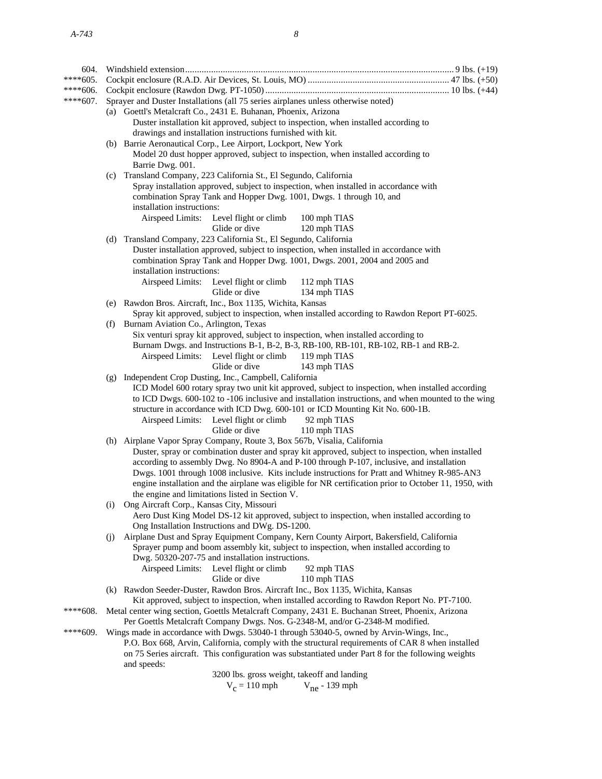| 604.       |                                                                                                                                                                           |                                                                                                                                                                                                        |  |  |
|------------|---------------------------------------------------------------------------------------------------------------------------------------------------------------------------|--------------------------------------------------------------------------------------------------------------------------------------------------------------------------------------------------------|--|--|
| $****605.$ |                                                                                                                                                                           |                                                                                                                                                                                                        |  |  |
| ****606.   |                                                                                                                                                                           |                                                                                                                                                                                                        |  |  |
| $****607.$ | Sprayer and Duster Installations (all 75 series airplanes unless otherwise noted)                                                                                         |                                                                                                                                                                                                        |  |  |
|            |                                                                                                                                                                           | (a) Goettl's Metalcraft Co., 2431 E. Buhanan, Phoenix, Arizona                                                                                                                                         |  |  |
|            |                                                                                                                                                                           | Duster installation kit approved, subject to inspection, when installed according to                                                                                                                   |  |  |
|            |                                                                                                                                                                           | drawings and installation instructions furnished with kit.                                                                                                                                             |  |  |
|            |                                                                                                                                                                           | (b) Barrie Aeronautical Corp., Lee Airport, Lockport, New York                                                                                                                                         |  |  |
|            |                                                                                                                                                                           | Model 20 dust hopper approved, subject to inspection, when installed according to                                                                                                                      |  |  |
|            |                                                                                                                                                                           | Barrie Dwg. 001.<br>(c) Transland Company, 223 California St., El Segundo, California                                                                                                                  |  |  |
|            |                                                                                                                                                                           | Spray installation approved, subject to inspection, when installed in accordance with                                                                                                                  |  |  |
|            |                                                                                                                                                                           | combination Spray Tank and Hopper Dwg. 1001, Dwgs. 1 through 10, and                                                                                                                                   |  |  |
|            |                                                                                                                                                                           | installation instructions:                                                                                                                                                                             |  |  |
|            |                                                                                                                                                                           | Airspeed Limits:<br>Level flight or climb<br>100 mph TIAS                                                                                                                                              |  |  |
|            |                                                                                                                                                                           | Glide or dive<br>120 mph TIAS                                                                                                                                                                          |  |  |
|            |                                                                                                                                                                           | (d) Transland Company, 223 California St., El Segundo, California                                                                                                                                      |  |  |
|            |                                                                                                                                                                           | Duster installation approved, subject to inspection, when installed in accordance with                                                                                                                 |  |  |
|            |                                                                                                                                                                           | combination Spray Tank and Hopper Dwg. 1001, Dwgs. 2001, 2004 and 2005 and                                                                                                                             |  |  |
|            |                                                                                                                                                                           | installation instructions:                                                                                                                                                                             |  |  |
|            |                                                                                                                                                                           | Airspeed Limits:<br>Level flight or climb<br>112 mph TIAS                                                                                                                                              |  |  |
|            |                                                                                                                                                                           | Glide or dive<br>134 mph TIAS                                                                                                                                                                          |  |  |
|            |                                                                                                                                                                           | (e) Rawdon Bros. Aircraft, Inc., Box 1135, Wichita, Kansas                                                                                                                                             |  |  |
|            |                                                                                                                                                                           | Spray kit approved, subject to inspection, when installed according to Rawdon Report PT-6025.                                                                                                          |  |  |
|            | (f)                                                                                                                                                                       | Burnam Aviation Co., Arlington, Texas<br>Six venturi spray kit approved, subject to inspection, when installed according to                                                                            |  |  |
|            |                                                                                                                                                                           | Burnam Dwgs. and Instructions B-1, B-2, B-3, RB-100, RB-101, RB-102, RB-1 and RB-2.                                                                                                                    |  |  |
|            |                                                                                                                                                                           | Airspeed Limits: Level flight or climb<br>119 mph TIAS                                                                                                                                                 |  |  |
|            |                                                                                                                                                                           | Glide or dive<br>143 mph TIAS                                                                                                                                                                          |  |  |
|            |                                                                                                                                                                           | (g) Independent Crop Dusting, Inc., Campbell, California                                                                                                                                               |  |  |
|            |                                                                                                                                                                           | ICD Model 600 rotary spray two unit kit approved, subject to inspection, when installed according                                                                                                      |  |  |
|            |                                                                                                                                                                           | to ICD Dwgs. 600-102 to -106 inclusive and installation instructions, and when mounted to the wing                                                                                                     |  |  |
|            |                                                                                                                                                                           | structure in accordance with ICD Dwg. 600-101 or ICD Mounting Kit No. 600-1B.                                                                                                                          |  |  |
|            |                                                                                                                                                                           | Airspeed Limits: Level flight or climb<br>92 mph TIAS                                                                                                                                                  |  |  |
|            |                                                                                                                                                                           | Glide or dive<br>110 mph TIAS                                                                                                                                                                          |  |  |
|            |                                                                                                                                                                           | (h) Airplane Vapor Spray Company, Route 3, Box 567b, Visalia, California                                                                                                                               |  |  |
|            |                                                                                                                                                                           | Duster, spray or combination duster and spray kit approved, subject to inspection, when installed                                                                                                      |  |  |
|            |                                                                                                                                                                           | according to assembly Dwg. No 8904-A and P-100 through P-107, inclusive, and installation                                                                                                              |  |  |
|            |                                                                                                                                                                           | Dwgs. 1001 through 1008 inclusive. Kits include instructions for Pratt and Whitney R-985-AN3<br>engine installation and the airplane was eligible for NR certification prior to October 11, 1950, with |  |  |
|            |                                                                                                                                                                           | the engine and limitations listed in Section V.                                                                                                                                                        |  |  |
|            | $\left( 1\right)$                                                                                                                                                         | Ong Aircraft Corp., Kansas City, Missouri                                                                                                                                                              |  |  |
|            |                                                                                                                                                                           | Aero Dust King Model DS-12 kit approved, subject to inspection, when installed according to                                                                                                            |  |  |
|            |                                                                                                                                                                           | Ong Installation Instructions and DWg. DS-1200.                                                                                                                                                        |  |  |
|            | (i)                                                                                                                                                                       | Airplane Dust and Spray Equipment Company, Kern County Airport, Bakersfield, California                                                                                                                |  |  |
|            |                                                                                                                                                                           | Sprayer pump and boom assembly kit, subject to inspection, when installed according to                                                                                                                 |  |  |
|            |                                                                                                                                                                           | Dwg. 50320-207-75 and installation instructions.                                                                                                                                                       |  |  |
|            |                                                                                                                                                                           | Airspeed Limits: Level flight or climb<br>92 mph TIAS                                                                                                                                                  |  |  |
|            |                                                                                                                                                                           | Glide or dive<br>110 mph TIAS                                                                                                                                                                          |  |  |
|            |                                                                                                                                                                           | (k) Rawdon Seeder-Duster, Rawdon Bros. Aircraft Inc., Box 1135, Wichita, Kansas                                                                                                                        |  |  |
|            | Kit approved, subject to inspection, when installed according to Rawdon Report No. PT-7100.                                                                               |                                                                                                                                                                                                        |  |  |
| ****608.   | Metal center wing section, Goettls Metalcraft Company, 2431 E. Buchanan Street, Phoenix, Arizona                                                                          |                                                                                                                                                                                                        |  |  |
| ****609.   | Per Goettls Metalcraft Company Dwgs. Nos. G-2348-M, and/or G-2348-M modified.<br>Wings made in accordance with Dwgs. 53040-1 through 53040-5, owned by Arvin-Wings, Inc., |                                                                                                                                                                                                        |  |  |
|            |                                                                                                                                                                           | P.O. Box 668, Arvin, California, comply with the structural requirements of CAR 8 when installed                                                                                                       |  |  |
|            |                                                                                                                                                                           | on 75 Series aircraft. This configuration was substantiated under Part 8 for the following weights                                                                                                     |  |  |
|            |                                                                                                                                                                           | and speeds:                                                                                                                                                                                            |  |  |
|            |                                                                                                                                                                           | 3200 lbs. gross weight, takeoff and landing                                                                                                                                                            |  |  |
|            |                                                                                                                                                                           |                                                                                                                                                                                                        |  |  |

 $V_c = 110$  mph  $V_{\text{ne}}$  - 139 mph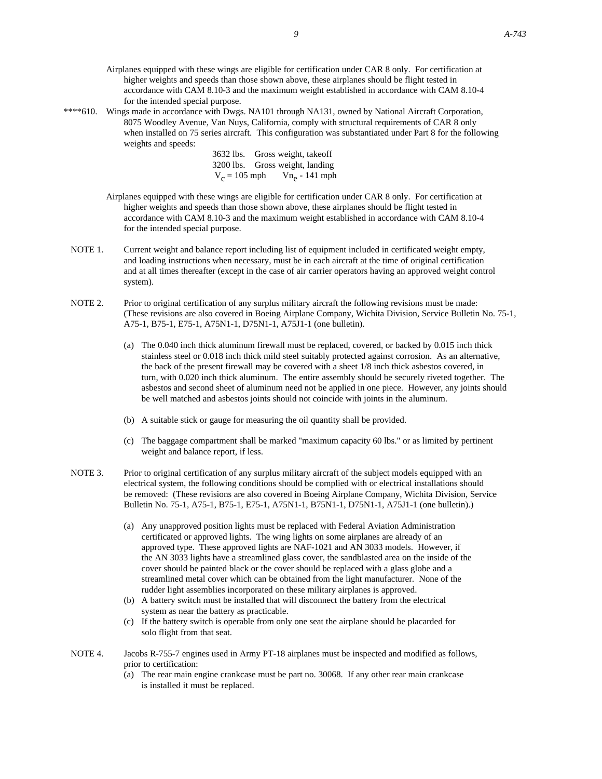- Airplanes equipped with these wings are eligible for certification under CAR 8 only. For certification at higher weights and speeds than those shown above, these airplanes should be flight tested in accordance with CAM 8.10-3 and the maximum weight established in accordance with CAM 8.10-4 for the intended special purpose.
- 

\*\*\*\*610. Wings made in accordance with Dwgs. NA101 through NA131, owned by National Aircraft Corporation, 8075 Woodley Avenue, Van Nuys, California, comply with structural requirements of CAR 8 only when installed on 75 series aircraft. This configuration was substantiated under Part 8 for the following weights and speeds:

> 3632 lbs. Gross weight, takeoff 3200 lbs. Gross weight, landing  $V_c = 105$  mph  $Vn_e - 141$  mph

Airplanes equipped with these wings are eligible for certification under CAR 8 only. For certification at higher weights and speeds than those shown above, these airplanes should be flight tested in accordance with CAM 8.10-3 and the maximum weight established in accordance with CAM 8.10-4 for the intended special purpose.

- NOTE 1. Current weight and balance report including list of equipment included in certificated weight empty, and loading instructions when necessary, must be in each aircraft at the time of original certification and at all times thereafter (except in the case of air carrier operators having an approved weight control system).
- NOTE 2. Prior to original certification of any surplus military aircraft the following revisions must be made: (These revisions are also covered in Boeing Airplane Company, Wichita Division, Service Bulletin No. 75-1, A75-1, B75-1, E75-1, A75N1-1, D75N1-1, A75J1-1 (one bulletin).
	- (a) The 0.040 inch thick aluminum firewall must be replaced, covered, or backed by 0.015 inch thick stainless steel or 0.018 inch thick mild steel suitably protected against corrosion. As an alternative, the back of the present firewall may be covered with a sheet 1/8 inch thick asbestos covered, in turn, with 0.020 inch thick aluminum. The entire assembly should be securely riveted together. The asbestos and second sheet of aluminum need not be applied in one piece. However, any joints should be well matched and asbestos joints should not coincide with joints in the aluminum.
	- (b) A suitable stick or gauge for measuring the oil quantity shall be provided.
	- (c) The baggage compartment shall be marked "maximum capacity 60 lbs." or as limited by pertinent weight and balance report, if less.
- NOTE 3. Prior to original certification of any surplus military aircraft of the subject models equipped with an electrical system, the following conditions should be complied with or electrical installations should be removed: (These revisions are also covered in Boeing Airplane Company, Wichita Division, Service Bulletin No. 75-1, A75-1, B75-1, E75-1, A75N1-1, B75N1-1, D75N1-1, A75J1-1 (one bulletin).)
	- (a) Any unapproved position lights must be replaced with Federal Aviation Administration certificated or approved lights. The wing lights on some airplanes are already of an approved type. These approved lights are NAF-1021 and AN 3033 models. However, if the AN 3033 lights have a streamlined glass cover, the sandblasted area on the inside of the cover should be painted black or the cover should be replaced with a glass globe and a streamlined metal cover which can be obtained from the light manufacturer. None of the rudder light assemblies incorporated on these military airplanes is approved.
	- (b) A battery switch must be installed that will disconnect the battery from the electrical system as near the battery as practicable.
	- (c) If the battery switch is operable from only one seat the airplane should be placarded for solo flight from that seat.
- NOTE 4. Jacobs R-755-7 engines used in Army PT-18 airplanes must be inspected and modified as follows, prior to certification:
	- (a) The rear main engine crankcase must be part no. 30068. If any other rear main crankcase is installed it must be replaced.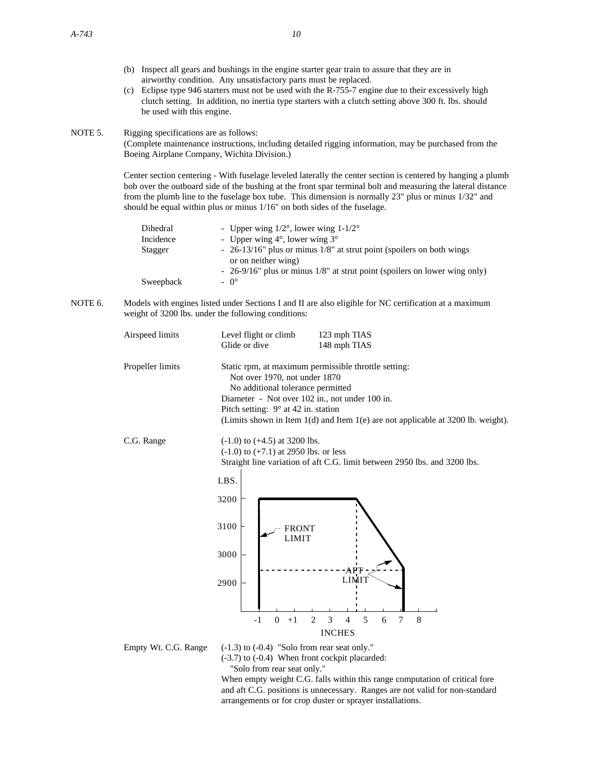- (b) Inspect all gears and bushings in the engine starter gear train to assure that they are in airworthy condition. Any unsatisfactory parts must be replaced.
- (c) Eclipse type 946 starters must not be used with the R-755-7 engine due to their excessively high clutch setting. In addition, no inertia type starters with a clutch setting above 300 ft. lbs. should be used with this engine.

NOTE 5. Rigging specifications are as follows:

(Complete maintenance instructions, including detailed rigging information, may be purchased from the Boeing Airplane Company, Wichita Division.)

Center section centering - With fuselage leveled laterally the center section is centered by hanging a plumb bob over the outboard side of the bushing at the front spar terminal bolt and measuring the lateral distance from the plumb line to the fuselage box tube. This dimension is normally 23" plus or minus 1/32" and should be equal within plus or minus 1/16" on both sides of the fuselage.

| Dihedral  | - Upper wing $1/2^{\circ}$ , lower wing $1-1/2^{\circ}$                    |
|-----------|----------------------------------------------------------------------------|
| Incidence | - Upper wing $4^\circ$ , lower wing $3^\circ$                              |
| Stagger   | - 26-13/16" plus or minus 1/8" at strut point (spoilers on both wings      |
|           | or on neither wing)                                                        |
|           | - 26-9/16" plus or minus 1/8" at strut point (spoilers on lower wing only) |
| Sweepback | $- 0^{\circ}$                                                              |

NOTE 6. Models with engines listed under Sections I and II are also eligible for NC certification at a maximum weight of 3200 lbs. under the following conditions:



"Solo from rear seat only."

When empty weight C.G. falls within this range computation of critical fore and aft C.G. positions is unnecessary. Ranges are not valid for non-standard arrangements or for crop duster or sprayer installations.